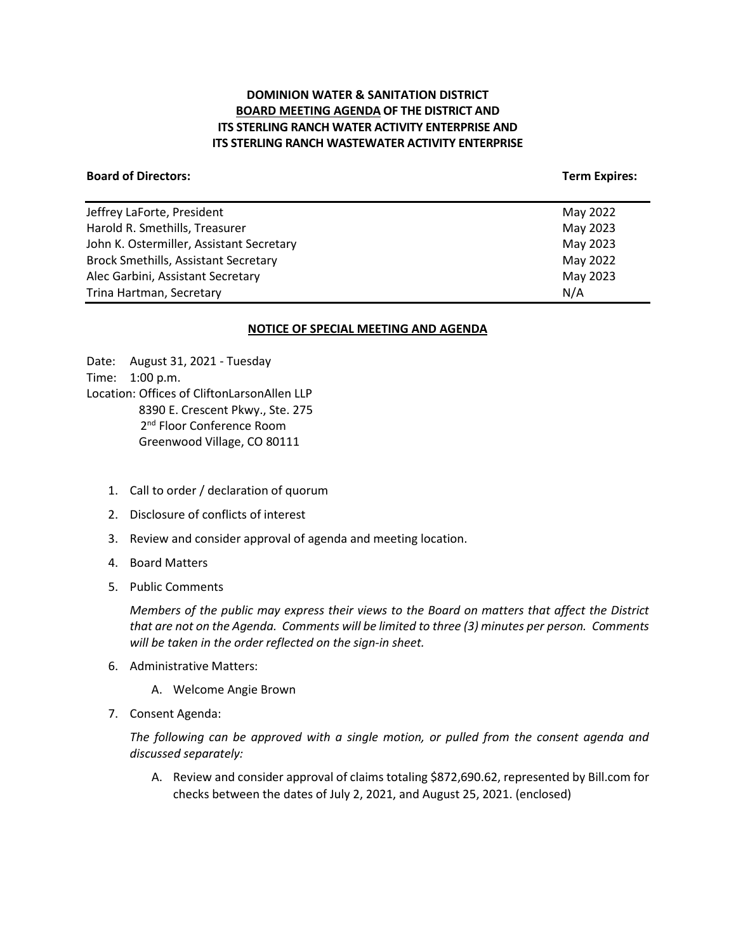# **DOMINION WATER & SANITATION DISTRICT BOARD MEETING AGENDA OF THE DISTRICT AND ITS STERLING RANCH WATER ACTIVITY ENTERPRISE AND ITS STERLING RANCH WASTEWATER ACTIVITY ENTERPRISE**

### **Board of Directors:** Term Expires: Term Expires: Term Expires: Term Expires: Term Expires: Term Expires: Term Expires: Term Expires: Term Expires: Term Expires: Term Expires: Term Expires: Term Expires: Term Expires: Term

| Jeffrey LaForte, President                  | May 2022 |
|---------------------------------------------|----------|
| Harold R. Smethills, Treasurer              | May 2023 |
| John K. Ostermiller, Assistant Secretary    | May 2023 |
| <b>Brock Smethills, Assistant Secretary</b> | May 2022 |
| Alec Garbini, Assistant Secretary           | May 2023 |
| Trina Hartman, Secretary                    | N/A      |
|                                             |          |

### **NOTICE OF SPECIAL MEETING AND AGENDA**

Date: August 31, 2021 - Tuesday Time: 1:00 p.m. Location: Offices of CliftonLarsonAllen LLP 8390 E. Crescent Pkwy., Ste. 275 2<sup>nd</sup> Floor Conference Room Greenwood Village, CO 80111

- 1. Call to order / declaration of quorum
- 2. Disclosure of conflicts of interest
- 3. Review and consider approval of agenda and meeting location.
- 4. Board Matters
- 5. Public Comments

*Members of the public may express their views to the Board on matters that affect the District that are not on the Agenda. Comments will be limited to three (3) minutes per person. Comments will be taken in the order reflected on the sign-in sheet.* 

- 6. Administrative Matters:
	- A. Welcome Angie Brown
- 7. Consent Agenda:

*The following can be approved with a single motion, or pulled from the consent agenda and discussed separately:*

A. Review and consider approval of claims totaling \$872,690.62, represented by Bill.com for checks between the dates of July 2, 2021, and August 25, 2021. (enclosed)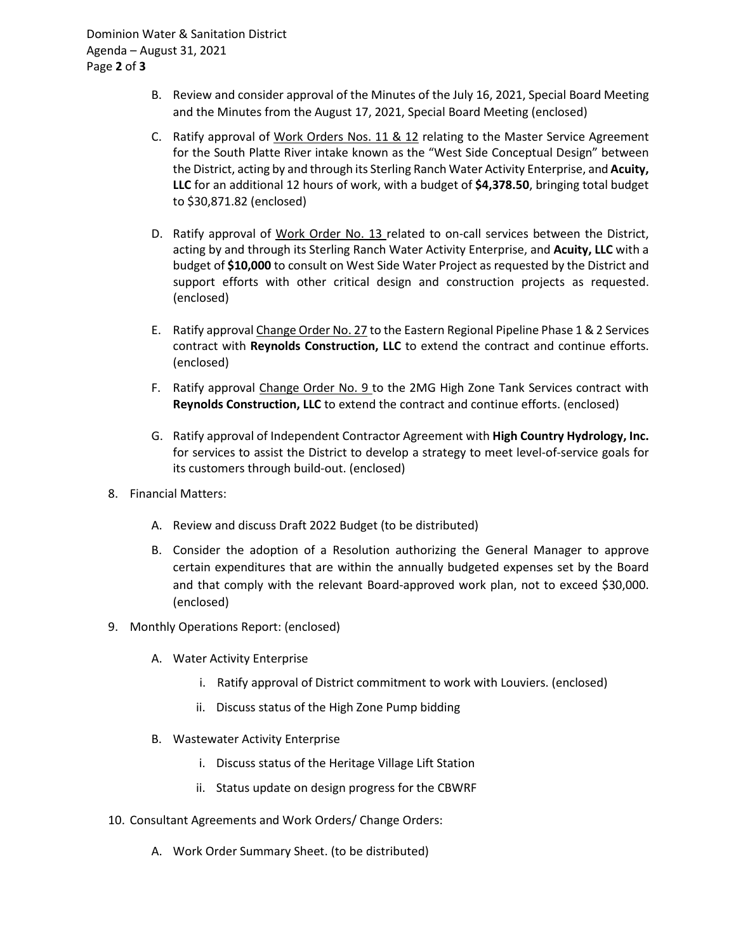- B. Review and consider approval of the Minutes of the July 16, 2021, Special Board Meeting and the Minutes from the August 17, 2021, Special Board Meeting (enclosed)
- C. Ratify approval of Work Orders Nos. 11 & 12 relating to the Master Service Agreement for the South Platte River intake known as the "West Side Conceptual Design" between the District, acting by and through its Sterling Ranch Water Activity Enterprise, and **Acuity, LLC** for an additional 12 hours of work, with a budget of **\$4,378.50**, bringing total budget to \$30,871.82 (enclosed)
- D. Ratify approval of Work Order No. 13 related to on-call services between the District, acting by and through its Sterling Ranch Water Activity Enterprise, and **Acuity, LLC** with a budget of **\$10,000** to consult on West Side Water Project as requested by the District and support efforts with other critical design and construction projects as requested. (enclosed)
- E. Ratify approval Change Order No. 27 to the Eastern Regional Pipeline Phase 1 & 2 Services contract with **Reynolds Construction, LLC** to extend the contract and continue efforts. (enclosed)
- F. Ratify approval Change Order No. 9 to the 2MG High Zone Tank Services contract with **Reynolds Construction, LLC** to extend the contract and continue efforts. (enclosed)
- G. Ratify approval of Independent Contractor Agreement with **High Country Hydrology, Inc.** for services to assist the District to develop a strategy to meet level-of-service goals for its customers through build-out. (enclosed)
- 8. Financial Matters:
	- A. Review and discuss Draft 2022 Budget (to be distributed)
	- B. Consider the adoption of a Resolution authorizing the General Manager to approve certain expenditures that are within the annually budgeted expenses set by the Board and that comply with the relevant Board-approved work plan, not to exceed \$30,000. (enclosed)
- 9. Monthly Operations Report: (enclosed)
	- A. Water Activity Enterprise
		- i. Ratify approval of District commitment to work with Louviers. (enclosed)
		- ii. Discuss status of the High Zone Pump bidding
	- B. Wastewater Activity Enterprise
		- i. Discuss status of the Heritage Village Lift Station
		- ii. Status update on design progress for the CBWRF
- 10. Consultant Agreements and Work Orders/ Change Orders:
	- A. Work Order Summary Sheet. (to be distributed)